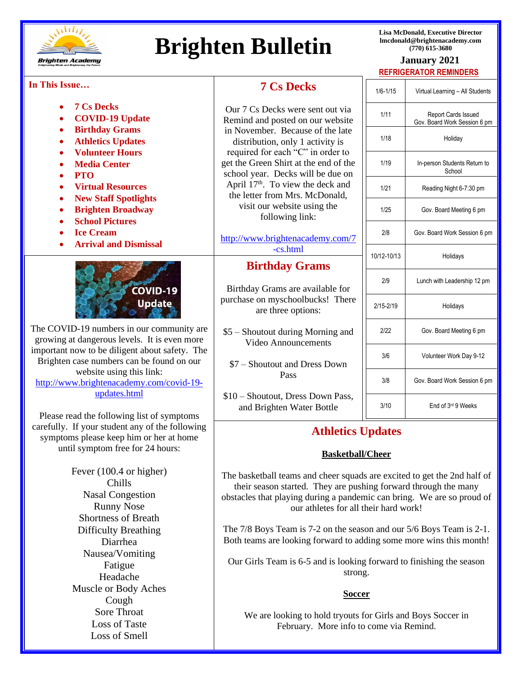

# **Brighten Bulletin Bulletin Bulletin**

**Lisa McDonald, Executive Director lmcdonald@brightenacademy.com**

# **REFRIGERATOR REMINDERS**

#### **In This Issue…**

| In This Issue                                                                                                     | <b>7 Cs Decks</b>                                                                                                                                                                                                                                                          | $1/6 - 1/15$ | Virtual Learning - All Students                            |
|-------------------------------------------------------------------------------------------------------------------|----------------------------------------------------------------------------------------------------------------------------------------------------------------------------------------------------------------------------------------------------------------------------|--------------|------------------------------------------------------------|
| <b>7 Cs Decks</b>                                                                                                 |                                                                                                                                                                                                                                                                            |              |                                                            |
| <b>COVID-19 Update</b>                                                                                            | Our 7 Cs Decks were sent out via<br>Remind and posted on our website                                                                                                                                                                                                       | 1/11         | <b>Report Cards Issued</b><br>Gov. Board Work Session 6 pm |
| <b>Birthday Grams</b>                                                                                             | in November. Because of the late<br>distribution, only 1 activity is<br>required for each "C" in order to<br>get the Green Shirt at the end of the<br>school year. Decks will be due on<br>April 17 <sup>th</sup> . To view the deck and<br>the letter from Mrs. McDonald, |              |                                                            |
| <b>Athletics Updates</b>                                                                                          |                                                                                                                                                                                                                                                                            | 1/18         | Holiday                                                    |
| <b>Volunteer Hours</b><br><b>Media Center</b>                                                                     |                                                                                                                                                                                                                                                                            | 1/19         | In-person Students Return to<br>School                     |
| <b>PTO</b><br><b>Virtual Resources</b>                                                                            |                                                                                                                                                                                                                                                                            | 1/21         | Reading Night 6-7:30 pm                                    |
| <b>New Staff Spotlights</b><br><b>Brighten Broadway</b>                                                           | visit our website using the<br>following link:                                                                                                                                                                                                                             | 1/25         | Gov. Board Meeting 6 pm                                    |
| <b>School Pictures</b><br><b>Ice Cream</b>                                                                        | http://www.brightenacademy.com/7                                                                                                                                                                                                                                           | 2/8          | Gov. Board Work Session 6 pm                               |
| <b>Arrival and Dismissal</b>                                                                                      | -cs.html                                                                                                                                                                                                                                                                   | 10/12-10/13  | Holidays                                                   |
|                                                                                                                   | <b>Birthday Grams</b>                                                                                                                                                                                                                                                      |              |                                                            |
| COVID-19                                                                                                          | Birthday Grams are available for                                                                                                                                                                                                                                           | 2/9          | Lunch with Leadership 12 pm                                |
| <b>Update</b>                                                                                                     | purchase on myschoolbucks! There<br>are three options:                                                                                                                                                                                                                     | 2/15-2/19    | Holidays                                                   |
| The COVID-19 numbers in our community are<br>growing at dangerous levels. It is even more                         | \$5 - Shoutout during Morning and                                                                                                                                                                                                                                          | 2/22         | Gov. Board Meeting 6 pm                                    |
| important now to be diligent about safety. The                                                                    | <b>Video Announcements</b>                                                                                                                                                                                                                                                 | 3/6          | Volunteer Work Day 9-12                                    |
| Brighten case numbers can be found on our<br>website using this link:<br>http://www.brightenacademy.com/covid-19- | \$7 - Shoutout and Dress Down<br>Pass                                                                                                                                                                                                                                      | 3/8          | Gov. Board Work Session 6 pm                               |
| updates.html                                                                                                      | \$10 - Shoutout, Dress Down Pass,                                                                                                                                                                                                                                          | 3/10         | End of 3rd 9 Weeks                                         |
| Please read the following list of symptoms                                                                        | and Brighten Water Bottle                                                                                                                                                                                                                                                  |              |                                                            |
| carefully. If your student any of the following                                                                   | <b>Athletics Updates</b>                                                                                                                                                                                                                                                   |              |                                                            |
| symptoms please keep him or her at home<br>until symptom free for 24 hours:                                       |                                                                                                                                                                                                                                                                            |              |                                                            |
|                                                                                                                   | <b>Basketball/Cheer</b>                                                                                                                                                                                                                                                    |              |                                                            |
| Fever (100.4 or higher)<br>Chills                                                                                 | The basketball teams and cheer squads are excited to get the 2nd half of<br>their season started. They are pushing forward through the many                                                                                                                                |              |                                                            |
| <b>Nasal Congestion</b>                                                                                           | obstacles that playing during a pandemic can bring. We are so proud of                                                                                                                                                                                                     |              |                                                            |
| <b>Runny Nose</b><br><b>Shortness of Breath</b>                                                                   | our athletes for all their hard work!                                                                                                                                                                                                                                      |              |                                                            |
| <b>Difficulty Breathing</b>                                                                                       | The $7/8$ Boys Team is $7-2$ on the season and our $5/6$ Boys Team is $2-1$ .                                                                                                                                                                                              |              |                                                            |
| Diarrhea                                                                                                          | Both teams are looking forward to adding some more wins this month!                                                                                                                                                                                                        |              |                                                            |
| Nausea/Vomiting                                                                                                   |                                                                                                                                                                                                                                                                            |              |                                                            |
| Fatigue                                                                                                           | Our Girls Team is 6-5 and is looking forward to finishing the season                                                                                                                                                                                                       |              |                                                            |
| Headache                                                                                                          | strong.                                                                                                                                                                                                                                                                    |              |                                                            |
| Muscle or Body Aches                                                                                              |                                                                                                                                                                                                                                                                            |              |                                                            |
| Cough                                                                                                             | <b>Soccer</b>                                                                                                                                                                                                                                                              |              |                                                            |
| Sore Throat                                                                                                       |                                                                                                                                                                                                                                                                            |              |                                                            |
| Loss of Taste                                                                                                     | We are looking to hold tryouts for Girls and Boys Soccer in<br>February. More info to come via Remind.                                                                                                                                                                     |              |                                                            |
| Loss of Smell                                                                                                     |                                                                                                                                                                                                                                                                            |              |                                                            |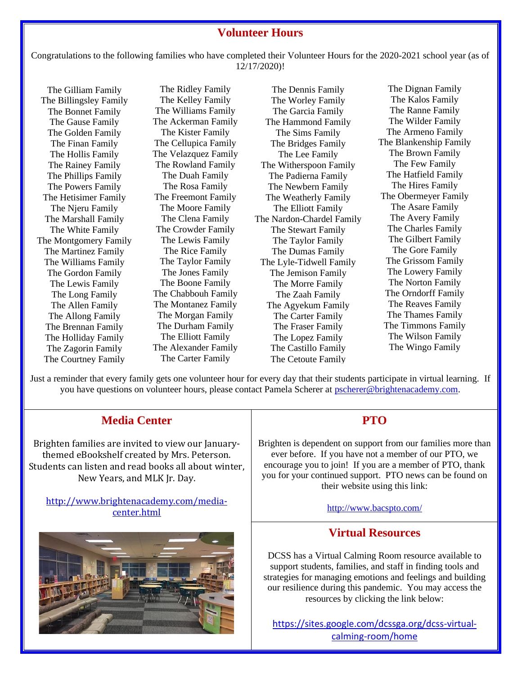#### **Volunteer Hours**

Congratulations to the following families who have completed their Volunteer Hours for the 2020-2021 school year (as of 12/17/2020)!

The Gilliam Family The Billingsley Family The Bonnet Family The Gause Family The Golden Family The Finan Family The Hollis Family The Rainey Family The Phillips Family The Powers Family The Hetisimer Family The Njeru Family The Marshall Family The White Family The Montgomery Family The Martinez Family The Williams Family The Gordon Family The Lewis Family The Long Family The Allen Family The Allong Family The Brennan Family The Holliday Family The Zagorin Family The Courtney Family

The Ridley Family The Kelley Family The Williams Family The Ackerman Family The Kister Family The Cellupica Family The Velazquez Family The Rowland Family The Duah Family The Rosa Family The Freemont Family The Moore Family The Clena Family The Crowder Family The Lewis Family The Rice Family The Taylor Family The Jones Family The Boone Family The Chabbouh Family The Montanez Family The Morgan Family The Durham Family The Elliott Family The Alexander Family The Carter Family

The Dennis Family The Worley Family The Garcia Family The Hammond Family The Sims Family The Bridges Family The Lee Family The Witherspoon Family The Padierna Family The Newbern Family The Weatherly Family The Elliott Family The Nardon-Chardel Family The Stewart Family The Taylor Family The Dumas Family The Lyle-Tidwell Family The Jemison Family The Morre Family The Zaah Family The Agyekum Family The Carter Family The Fraser Family The Lopez Family The Castillo Family The Cetoute Family

The Dignan Family The Kalos Family The Ranne Family The Wilder Family The Armeno Family The Blankenship Family The Brown Family The Few Family The Hatfield Family The Hires Family The Obermeyer Family The Asare Family The Avery Family The Charles Family The Gilbert Family The Gore Family The Grissom Family The Lowery Family The Norton Family The Orndorff Family The Reaves Family The Thames Family The Timmons Family The Wilson Family The Wingo Family

Just a reminder that every family gets one volunteer hour for every day that their students participate in virtual learning. If you have questions on volunteer hours, please contact Pamela Scherer at [pscherer@brightenacademy.com.](mailto:pscherer@brightenacademy.com)

# **Media Center**

Brighten families are invited to view our Januarythemed eBookshelf created by Mrs. Peterson. Students can listen and read books all about winter, New Years, and MLK Jr. Day.

[http://www.brightenacademy.com/media](http://www.brightenacademy.com/media-center.html?fbclid=IwAR1E8KWzH2KC8p-43lQ3m27y7g48oj5lBoV4FmVQDAdMVpHwDW_hp7yvqxU)[center.html](http://www.brightenacademy.com/media-center.html?fbclid=IwAR1E8KWzH2KC8p-43lQ3m27y7g48oj5lBoV4FmVQDAdMVpHwDW_hp7yvqxU)



#### **PTO**

Brighten is dependent on support from our families more than ever before. If you have not a member of our PTO, we encourage you to join! If you are a member of PTO, thank you for your continued support. PTO news can be found on their website using this link:

<http://www.bacspto.com/>

#### **Virtual Resources**

DCSS has a Virtual Calming Room resource available to support students, families, and staff in finding tools and strategies for managing emotions and feelings and building our resilience during this pandemic. You may access the resources by clicking the link below:

[https://sites.google.com/dcssga.org/dcss-virtual](https://sites.google.com/dcssga.org/dcss-virtual-calming-room/home)[calming-room/home](https://sites.google.com/dcssga.org/dcss-virtual-calming-room/home)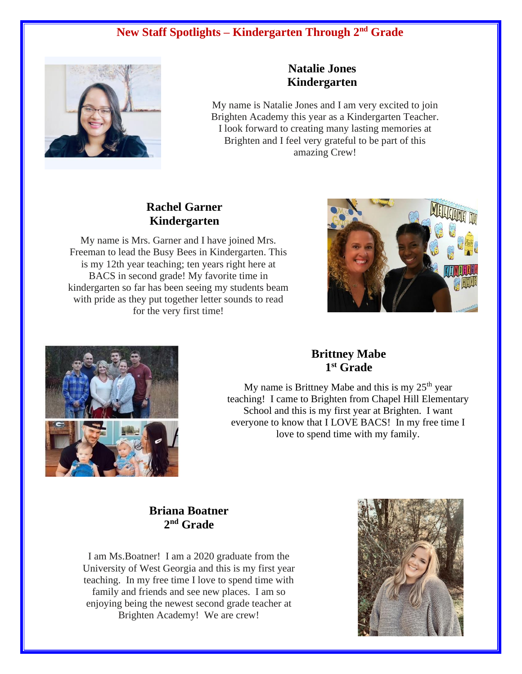# **New Staff Spotlights – Kindergarten Through 2nd Grade**



#### **Natalie Jones Kindergarten**

My name is Natalie Jones and I am very excited to join My name is Natalie Jones and I am very excited to join Brighten Academy this year as a Kindergarten Teacher. look forward to creating many lasting memories at I look forward to creating many lasting memories at Brighten and I feel very grateful to be part of this Brighten and I feel very grateful to be part of this amazing Crew! amazing Crew!

#### **Rachel Garner Kindergarten**

My name is Mrs. Garner and I have joined Mrs. Freeman to lead the Busy Bees in Kindergarten. This is my 12th year teaching; ten years right here at BACS in second grade! My favorite time in kindergarten so far has been seeing my students beam with pride as they put together letter sounds to read for the very first time!





### **Brittney Mabe 1 st Grade**

 $M_y$  hand is Britting Mabe and this is  $M_y$   $25\text{ }\text{year}$ <br>teaching! I came to Brighten from Chapel Hill Elementary school and this is my first year at Brighten. I want everyone to know that I LOVE BACS! In my free time I  $\frac{f(x)}{g(x)}$  and  $\frac{f(x)}{g(x)}$  and  $\frac{f(x)}{g(x)}$  and  $\frac{f(x)}{g(x)}$  and  $\frac{f(x)}{g(x)}$  and  $\frac{f(x)}{g(x)}$  $b \rightarrow b$  to spend the  $\sqrt{m}$  my free time My name is Brittney Mabe and this is my  $25<sup>th</sup>$  year love to spend time with my family.

#### **Briana Boatner 2 nd Grade**

I am Ms.Boatner! I am a 2020 graduate from the University of West Georgia and this is my first year teaching. In my free time I love to spend time with family and friends and see new places. I am so enjoying being the newest second grade teacher at Brighten Academy! We are crew!

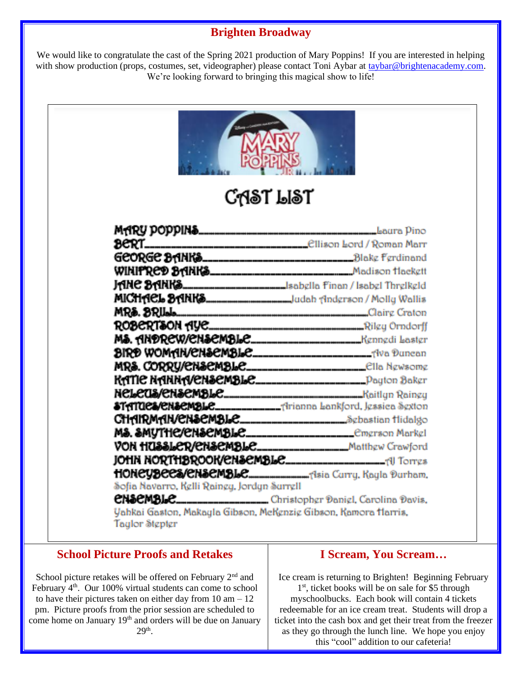# **Brighten Broadway**

We would like to congratulate the cast of the Spring 2021 production of Mary Poppins! If you are interested in helping with show production (props, costumes, set, videographer) please contact Toni Aybar at [taybar@brightenacademy.com.](mailto:taybar@brightenacademy.com) We're looking forward to bringing this magical show to life!

|                                             | <b>CAST LIST</b>                                                           |
|---------------------------------------------|----------------------------------------------------------------------------|
|                                             |                                                                            |
|                                             |                                                                            |
|                                             |                                                                            |
|                                             |                                                                            |
|                                             | <b>JANE SANKS_______________________</b> sabella finan / Isabel Threlkeld  |
|                                             | MICHACL SANKS________________________________Jadah Andgrson / Molly Wallis |
|                                             | MRS. BRIL. D.                                                              |
|                                             |                                                                            |
|                                             |                                                                            |
|                                             |                                                                            |
|                                             | MRS. CORRU/CHSCMBLC__________________________CIIa Newsome                  |
|                                             |                                                                            |
|                                             |                                                                            |
|                                             |                                                                            |
|                                             |                                                                            |
|                                             |                                                                            |
|                                             | VON HUSSLER/CNSCMBLE__________________Matthew Crawford                     |
|                                             |                                                                            |
|                                             |                                                                            |
| Sofia Navarro, Kelli Rainey, Jordyn Surrell |                                                                            |
|                                             |                                                                            |

#### **School Picture Proofs and Retakes**

School picture retakes will be offered on February  $2<sup>nd</sup>$  and February 4<sup>th</sup>. Our 100% virtual students can come to school to have their pictures taken on either day from  $10 \text{ am} - 12$ pm. Picture proofs from the prior session are scheduled to come home on January 19<sup>th</sup> and orders will be due on January  $29<sup>th</sup>$ .

#### **I Scream, You Scream…**

Ice cream is returning to Brighten! Beginning February 1 st, ticket books will be on sale for \$5 through myschoolbucks. Each book will contain 4 tickets redeemable for an ice cream treat. Students will drop a ticket into the cash box and get their treat from the freezer as they go through the lunch line. We hope you enjoy this "cool" addition to our cafeteria!